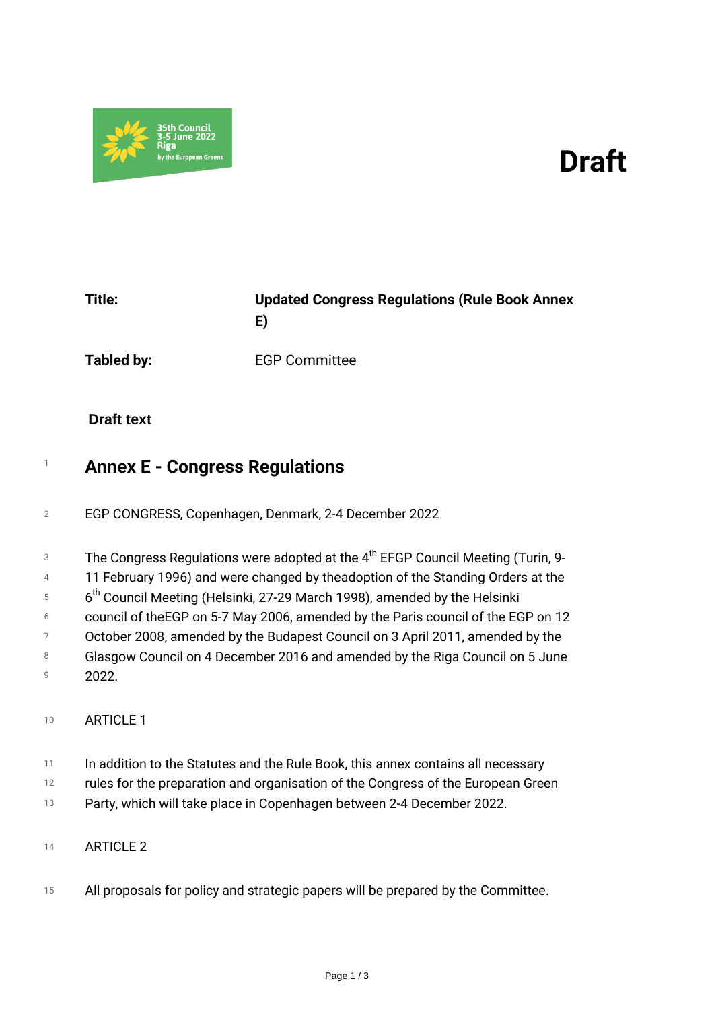



| Title: | <b>Updated Congress Regulations (Rule Book Annex</b> |
|--------|------------------------------------------------------|
|        |                                                      |

*Tabled by: EGP Committee*

## **Draft text**

# *<sup>1</sup> Annex E - Congress Regulations*

- *<sup>2</sup> EGP CONGRESS, Copenhagen, Denmark, 2-4 December 2022*
- *3 The Congress Regulations were adopted at the 4th EFGP Council Meeting (Turin, 9-*
- *4 11 February 1996) and were changed by theadoption of the Standing Orders at the*
- *5 6 th Council Meeting (Helsinki, 27-29 March 1998), amended by the Helsinki*
- *6 council of theEGP on 5-7 May 2006, amended by the Paris council of the EGP on 12*
- *7 October 2008, amended by the Budapest Council on 3 April 2011, amended by the*
- *8 9 Glasgow Council on 4 December 2016 and amended by the Riga Council on 5 June 2022.*
- 
- *<sup>10</sup> ARTICLE 1*
- *11 In addition to the Statutes and the Rule Book, this annex contains all necessary*
- *12 rules for the preparation and organisation of the Congress of the European Green*
- *13 Party, which will take place in Copenhagen between 2-4 December 2022.*
- *<sup>14</sup> ARTICLE 2*
- *<sup>15</sup> All proposals for policy and strategic papers will be prepared by the Committee.*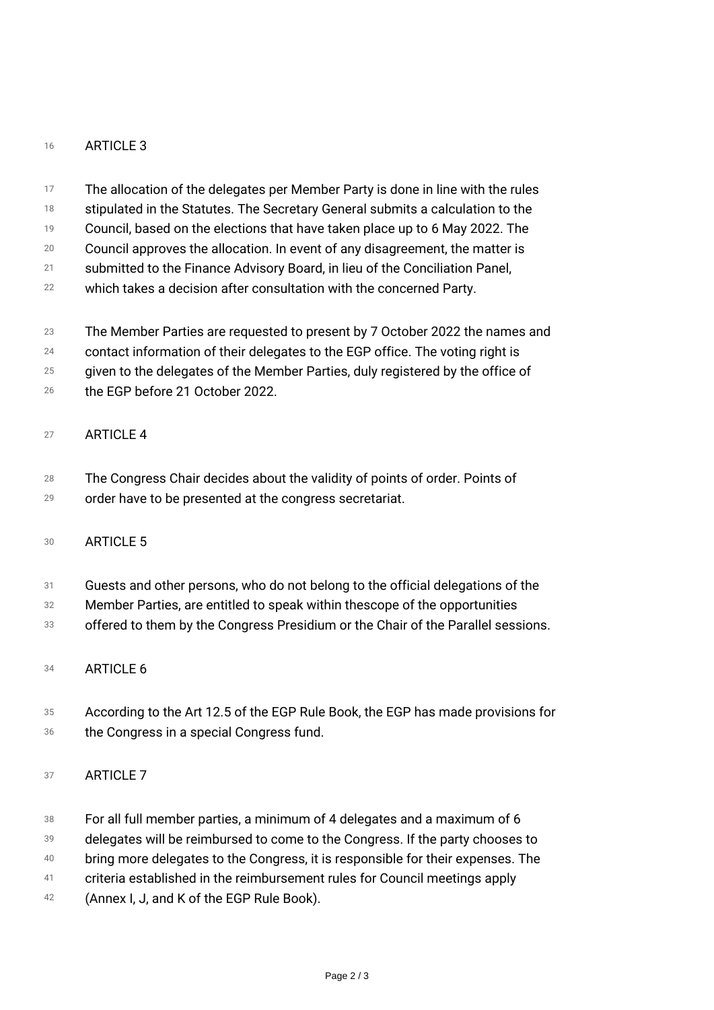#### *<sup>16</sup> ARTICLE 3*

- *17 The allocation of the delegates per Member Party is done in line with the rules*
- *18 stipulated in the Statutes. The Secretary General submits a calculation to the*
- *19 Council, based on the elections that have taken place up to 6 May 2022. The*
- *20 Council approves the allocation. In event of any disagreement, the matter is*
- *21 submitted to the Finance Advisory Board, in lieu of the Conciliation Panel,*
- *22 which takes a decision after consultation with the concerned Party.*
- *23 The Member Parties are requested to present by 7 October 2022 the names and*
- *24 contact information of their delegates to the EGP office. The voting right is*
- *25 given to the delegates of the Member Parties, duly registered by the office of*
- *26 the EGP before 21 October 2022.*

### *<sup>27</sup> ARTICLE 4*

- *28 The Congress Chair decides about the validity of points of order. Points of*
- *29 order have to be presented at the congress secretariat.*

#### *<sup>30</sup> ARTICLE 5*

- *31 Guests and other persons, who do not belong to the official delegations of the*
- *32 Member Parties, are entitled to speak within thescope of the opportunities*
- *33 offered to them by the Congress Presidium or the Chair of the Parallel sessions.*
- *<sup>34</sup> ARTICLE 6*
- *35 According to the Art 12.5 of the EGP Rule Book, the EGP has made provisions for*
- *36 the Congress in a special Congress fund.*

## *<sup>37</sup> ARTICLE 7*

- *38 For all full member parties, a minimum of 4 delegates and a maximum of 6*
- *39 delegates will be reimbursed to come to the Congress. If the party chooses to*
- *40 bring more delegates to the Congress, it is responsible for their expenses. The*
- *41 criteria established in the reimbursement rules for Council meetings apply*
- *42 (Annex I, J, and K of the EGP Rule Book).*